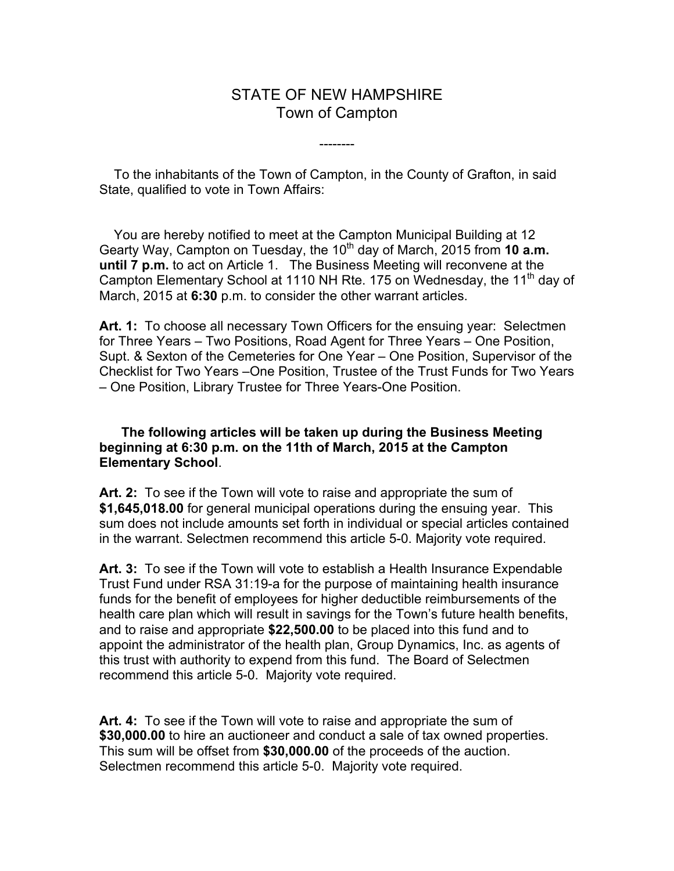## STATE OF NEW HAMPSHIRE Town of Campton

--------

 To the inhabitants of the Town of Campton, in the County of Grafton, in said State, qualified to vote in Town Affairs:

 You are hereby notified to meet at the Campton Municipal Building at 12 Gearty Way, Campton on Tuesday, the 10<sup>th</sup> day of March, 2015 from 10 a.m. **until 7 p.m.** to act on Article 1. The Business Meeting will reconvene at the Campton Elementary School at 1110 NH Rte. 175 on Wednesday, the 11<sup>th</sup> day of March, 2015 at **6:30** p.m. to consider the other warrant articles.

Art. 1: To choose all necessary Town Officers for the ensuing year: Selectmen for Three Years – Two Positions, Road Agent for Three Years – One Position, Supt. & Sexton of the Cemeteries for One Year – One Position, Supervisor of the Checklist for Two Years –One Position, Trustee of the Trust Funds for Two Years – One Position, Library Trustee for Three Years-One Position.

## **The following articles will be taken up during the Business Meeting beginning at 6:30 p.m. on the 11th of March, 2015 at the Campton Elementary School**.

**Art. 2:** To see if the Town will vote to raise and appropriate the sum of **\$1,645,018.00** for general municipal operations during the ensuing year. This sum does not include amounts set forth in individual or special articles contained in the warrant. Selectmen recommend this article 5-0. Majority vote required.

**Art. 3:** To see if the Town will vote to establish a Health Insurance Expendable Trust Fund under RSA 31:19-a for the purpose of maintaining health insurance funds for the benefit of employees for higher deductible reimbursements of the health care plan which will result in savings for the Town's future health benefits, and to raise and appropriate **\$22,500.00** to be placed into this fund and to appoint the administrator of the health plan, Group Dynamics, Inc. as agents of this trust with authority to expend from this fund. The Board of Selectmen recommend this article 5-0. Majority vote required.

**Art. 4:** To see if the Town will vote to raise and appropriate the sum of **\$30,000.00** to hire an auctioneer and conduct a sale of tax owned properties. This sum will be offset from **\$30,000.00** of the proceeds of the auction. Selectmen recommend this article 5-0. Majority vote required.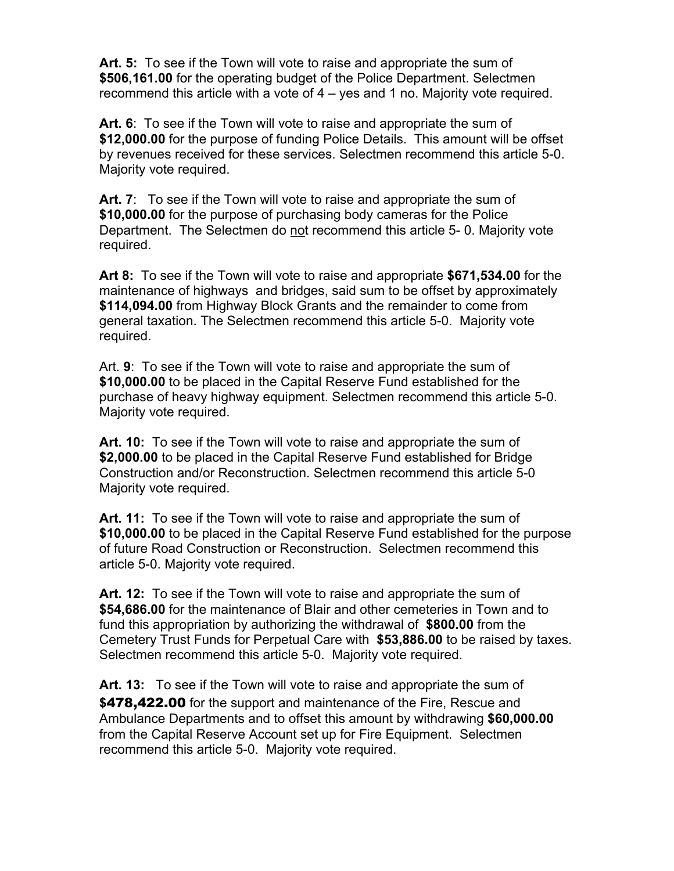**Art. 5:** To see if the Town will vote to raise and appropriate the sum of **\$506,161.00** for the operating budget of the Police Department. Selectmen recommend this article with a vote of 4 – yes and 1 no. Majority vote required.

**Art. 6**: To see if the Town will vote to raise and appropriate the sum of **\$12,000.00** for the purpose of funding Police Details. This amount will be offset by revenues received for these services. Selectmen recommend this article 5-0. Majority vote required.

Art. 7: To see if the Town will vote to raise and appropriate the sum of **\$10,000.00** for the purpose of purchasing body cameras for the Police Department. The Selectmen do not recommend this article 5- 0. Majority vote required.

**Art 8:** To see if the Town will vote to raise and appropriate **\$671,534.00** for the maintenance of highways and bridges, said sum to be offset by approximately **\$114,094.00** from Highway Block Grants and the remainder to come from general taxation. The Selectmen recommend this article 5-0. Majority vote required.

Art. **9**: To see if the Town will vote to raise and appropriate the sum of **\$10,000.00** to be placed in the Capital Reserve Fund established for the purchase of heavy highway equipment. Selectmen recommend this article 5-0. Majority vote required.

**Art. 10:** To see if the Town will vote to raise and appropriate the sum of **\$2,000.00** to be placed in the Capital Reserve Fund established for Bridge Construction and/or Reconstruction. Selectmen recommend this article 5-0 Majority vote required.

**Art. 11:** To see if the Town will vote to raise and appropriate the sum of **\$10,000.00** to be placed in the Capital Reserve Fund established for the purpose of future Road Construction or Reconstruction. Selectmen recommend this article 5-0. Majority vote required.

**Art. 12:** To see if the Town will vote to raise and appropriate the sum of **\$54,686.00** for the maintenance of Blair and other cemeteries in Town and to fund this appropriation by authorizing the withdrawal of **\$800.00** from the Cemetery Trust Funds for Perpetual Care with **\$53,886.00** to be raised by taxes. Selectmen recommend this article 5-0. Majority vote required.

**Art. 13:** To see if the Town will vote to raise and appropriate the sum of **\$**478,422.00 for the support and maintenance of the Fire, Rescue and Ambulance Departments and to offset this amount by withdrawing **\$60,000.00** from the Capital Reserve Account set up for Fire Equipment. Selectmen recommend this article 5-0. Majority vote required.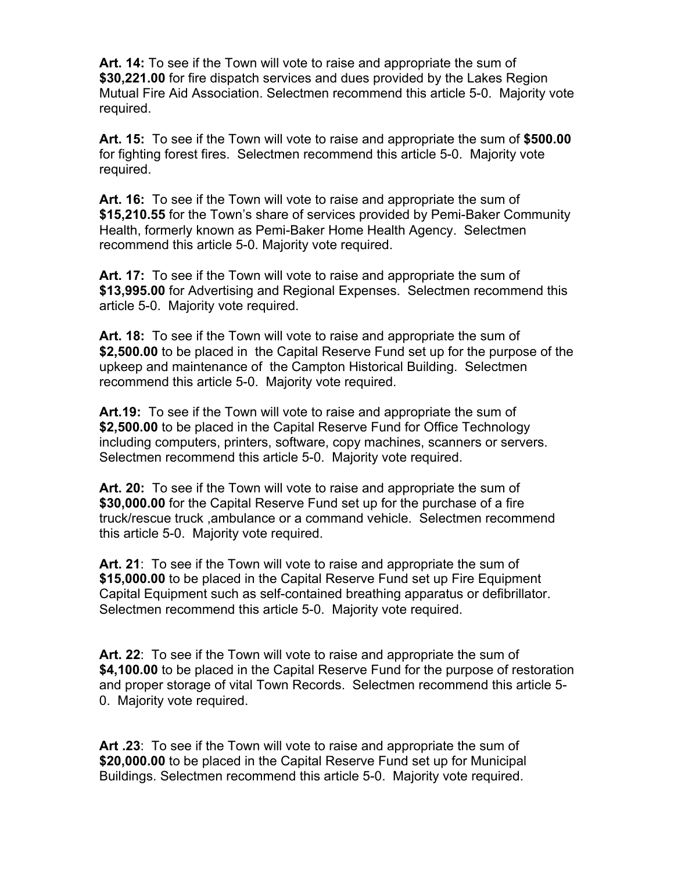**Art. 14:** To see if the Town will vote to raise and appropriate the sum of **\$30,221.00** for fire dispatch services and dues provided by the Lakes Region Mutual Fire Aid Association. Selectmen recommend this article 5-0. Majority vote required.

**Art. 15:** To see if the Town will vote to raise and appropriate the sum of **\$500.00**  for fighting forest fires. Selectmen recommend this article 5-0. Majority vote required.

**Art. 16:** To see if the Town will vote to raise and appropriate the sum of **\$15,210.55** for the Town's share of services provided by Pemi-Baker Community Health, formerly known as Pemi-Baker Home Health Agency. Selectmen recommend this article 5-0. Majority vote required.

**Art. 17:** To see if the Town will vote to raise and appropriate the sum of **\$13,995.00** for Advertising and Regional Expenses. Selectmen recommend this article 5-0. Majority vote required.

**Art. 18:** To see if the Town will vote to raise and appropriate the sum of **\$2,500.00** to be placed in the Capital Reserve Fund set up for the purpose of the upkeep and maintenance of the Campton Historical Building. Selectmen recommend this article 5-0. Majority vote required.

**Art.19:** To see if the Town will vote to raise and appropriate the sum of **\$2,500.00** to be placed in the Capital Reserve Fund for Office Technology including computers, printers, software, copy machines, scanners or servers. Selectmen recommend this article 5-0. Majority vote required.

**Art. 20:** To see if the Town will vote to raise and appropriate the sum of **\$30,000.00** for the Capital Reserve Fund set up for the purchase of a fire truck/rescue truck ,ambulance or a command vehicle. Selectmen recommend this article 5-0. Majority vote required.

**Art. 21**: To see if the Town will vote to raise and appropriate the sum of **\$15,000.00** to be placed in the Capital Reserve Fund set up Fire Equipment Capital Equipment such as self-contained breathing apparatus or defibrillator. Selectmen recommend this article 5-0. Majority vote required.

**Art. 22**: To see if the Town will vote to raise and appropriate the sum of **\$4,100.00** to be placed in the Capital Reserve Fund for the purpose of restoration and proper storage of vital Town Records. Selectmen recommend this article 5- 0. Majority vote required.

**Art .23**: To see if the Town will vote to raise and appropriate the sum of **\$20,000.00** to be placed in the Capital Reserve Fund set up for Municipal Buildings. Selectmen recommend this article 5-0. Majority vote required.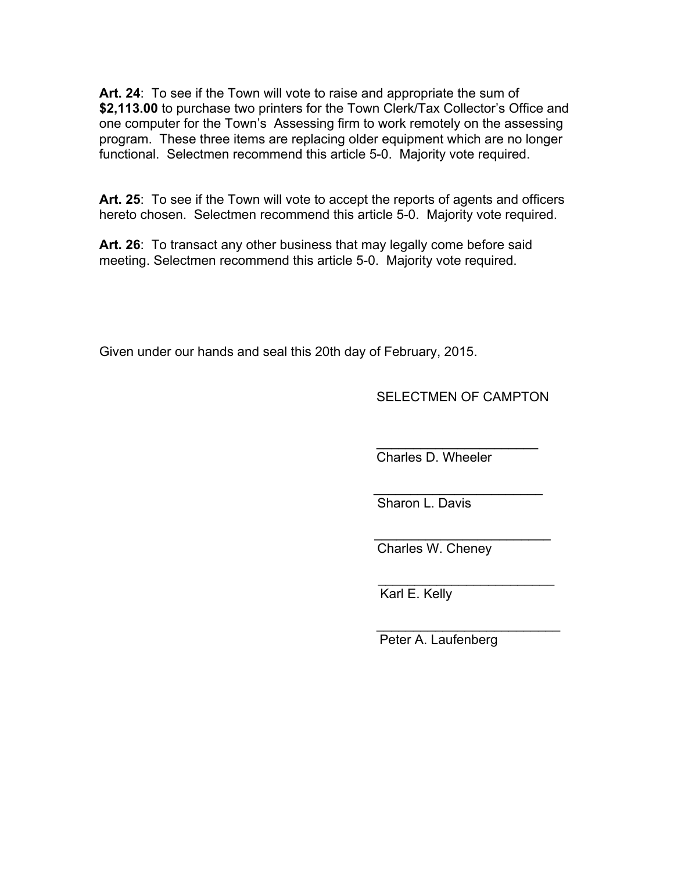**Art. 24**: To see if the Town will vote to raise and appropriate the sum of **\$2,113.00** to purchase two printers for the Town Clerk/Tax Collector's Office and one computer for the Town's Assessing firm to work remotely on the assessing program. These three items are replacing older equipment which are no longer functional. Selectmen recommend this article 5-0. Majority vote required.

**Art. 25**: To see if the Town will vote to accept the reports of agents and officers hereto chosen. Selectmen recommend this article 5-0. Majority vote required.

**Art. 26**: To transact any other business that may legally come before said meeting. Selectmen recommend this article 5-0. Majority vote required.

Given under our hands and seal this 20th day of February, 2015.

SELECTMEN OF CAMPTON

 $\_$ Charles D. Wheeler

 $\frac{1}{\sqrt{2}}$  , which is a set of  $\frac{1}{\sqrt{2}}$  , which is a set of  $\frac{1}{\sqrt{2}}$  , which is a set of  $\frac{1}{\sqrt{2}}$ Sharon L. Davis

 $\frac{1}{\sqrt{2}}$  ,  $\frac{1}{\sqrt{2}}$  ,  $\frac{1}{\sqrt{2}}$  ,  $\frac{1}{\sqrt{2}}$  ,  $\frac{1}{\sqrt{2}}$  ,  $\frac{1}{\sqrt{2}}$  ,  $\frac{1}{\sqrt{2}}$  ,  $\frac{1}{\sqrt{2}}$  ,  $\frac{1}{\sqrt{2}}$  ,  $\frac{1}{\sqrt{2}}$  ,  $\frac{1}{\sqrt{2}}$  ,  $\frac{1}{\sqrt{2}}$  ,  $\frac{1}{\sqrt{2}}$  ,  $\frac{1}{\sqrt{2}}$  ,  $\frac{1}{\sqrt{2}}$ Charles W. Cheney

 $\frac{1}{\sqrt{2}}$  ,  $\frac{1}{\sqrt{2}}$  ,  $\frac{1}{\sqrt{2}}$  ,  $\frac{1}{\sqrt{2}}$  ,  $\frac{1}{\sqrt{2}}$  ,  $\frac{1}{\sqrt{2}}$  ,  $\frac{1}{\sqrt{2}}$  ,  $\frac{1}{\sqrt{2}}$  ,  $\frac{1}{\sqrt{2}}$  ,  $\frac{1}{\sqrt{2}}$  ,  $\frac{1}{\sqrt{2}}$  ,  $\frac{1}{\sqrt{2}}$  ,  $\frac{1}{\sqrt{2}}$  ,  $\frac{1}{\sqrt{2}}$  ,  $\frac{1}{\sqrt{2}}$ Karl E. Kelly

Peter A. Laufenberg

\_\_\_\_\_\_\_\_\_\_\_\_\_\_\_\_\_\_\_\_\_\_\_\_\_